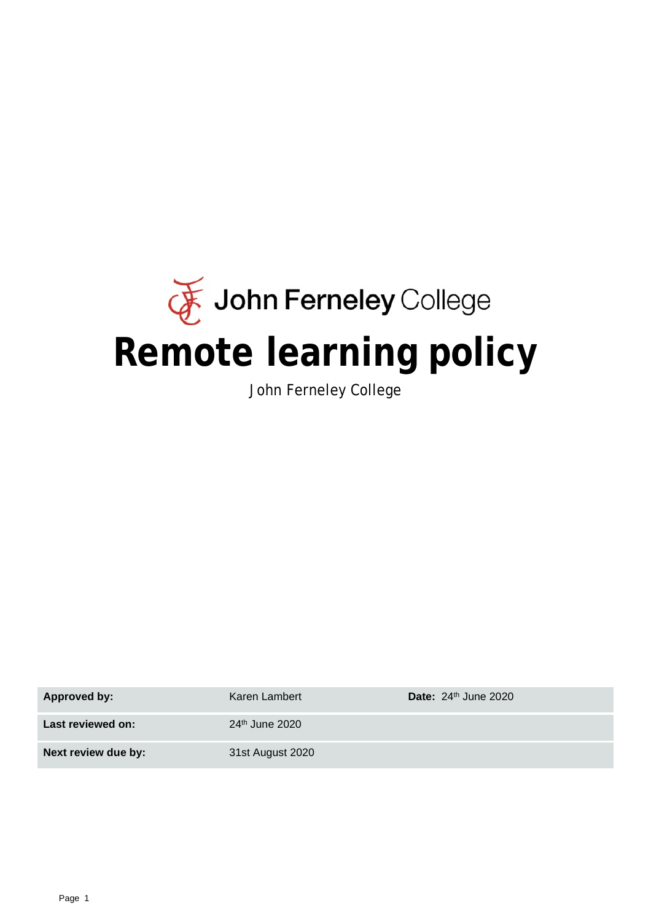# John Ferneley College **Remote learning policy**

John Ferneley College

| <b>Approved by:</b> | Karen Lambert              | Date: $24th$ June 2020 |
|---------------------|----------------------------|------------------------|
| Last reviewed on:   | 24 <sup>th</sup> June 2020 |                        |
| Next review due by: | 31st August 2020           |                        |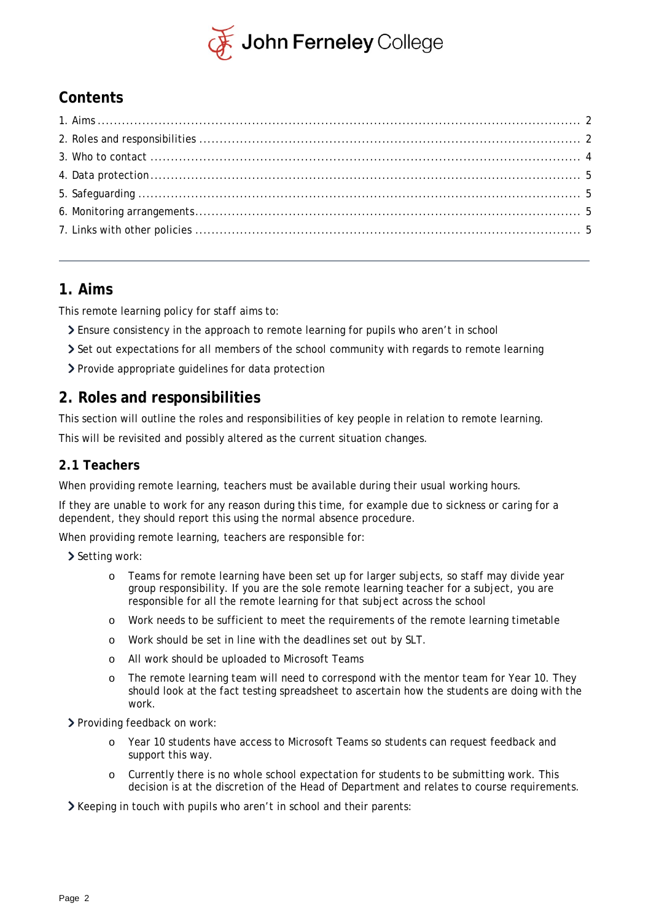

# **Contents**

## <span id="page-1-0"></span>**1. Aims**

This remote learning policy for staff aims to:

- Ensure consistency in the approach to remote learning for pupils who aren't in school
- Set out expectations for all members of the school community with regards to remote learning
- Provide appropriate guidelines for data protection

# <span id="page-1-1"></span>**2. Roles and responsibilities**

This section will outline the roles and responsibilities of key people in relation to remote learning.

This will be revisited and possibly altered as the current situation changes.

## **2.1 Teachers**

When providing remote learning, teachers must be available during their usual working hours.

If they are unable to work for any reason during this time, for example due to sickness or caring for a dependent, they should report this using the normal absence procedure.

When providing remote learning, teachers are responsible for:

 $\geq$  Setting work:

- o Teams for remote learning have been set up for larger subjects, so staff may divide year group responsibility. If you are the sole remote learning teacher for a subject, you are responsible for all the remote learning for that subject across the school
- o Work needs to be sufficient to meet the requirements of the remote learning timetable
- o Work should be set in line with the deadlines set out by SLT.
- All work should be uploaded to Microsoft Teams
- o The remote learning team will need to correspond with the mentor team for Year 10. They should look at the fact testing spreadsheet to ascertain how the students are doing with the work.

> Providing feedback on work:

- o Year 10 students have access to Microsoft Teams so students can request feedback and support this way.
- o Currently there is no whole school expectation for students to be submitting work. This decision is at the discretion of the Head of Department and relates to course requirements.

Xeeping in touch with pupils who aren't in school and their parents: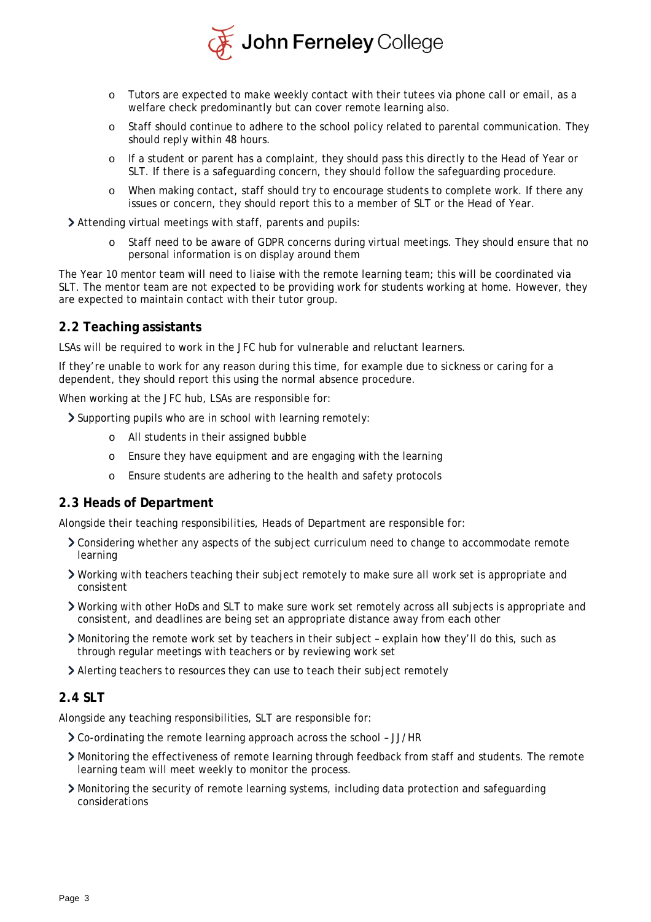

- o Tutors are expected to make weekly contact with their tutees via phone call or email, as a welfare check predominantly but can cover remote learning also.
- o Staff should continue to adhere to the school policy related to parental communication. They should reply within 48 hours.
- o If a student or parent has a complaint, they should pass this directly to the Head of Year or SLT. If there is a safeguarding concern, they should follow the safeguarding procedure.
- o When making contact, staff should try to encourage students to complete work. If there any issues or concern, they should report this to a member of SLT or the Head of Year.

Attending virtual meetings with staff, parents and pupils:

Staff need to be aware of GDPR concerns during virtual meetings. They should ensure that no personal information is on display around them

The Year 10 mentor team will need to liaise with the remote learning team; this will be coordinated via SLT. The mentor team are not expected to be providing work for students working at home. However, they are expected to maintain contact with their tutor group.

#### **2.2 Teaching assistants**

LSAs will be required to work in the JFC hub for vulnerable and reluctant learners.

If they're unable to work for any reason during this time, for example due to sickness or caring for a dependent, they should report this using the normal absence procedure.

When working at the JFC hub, LSAs are responsible for:

Supporting pupils who are in school with learning remotely:

- o All students in their assigned bubble
- o Ensure they have equipment and are engaging with the learning
- o Ensure students are adhering to the health and safety protocols

#### **2.3 Heads of Department**

Alongside their teaching responsibilities, Heads of Department are responsible for:

- Considering whether any aspects of the subject curriculum need to change to accommodate remote learning
- Working with teachers teaching their subject remotely to make sure all work set is appropriate and consistent
- Working with other HoDs and SLT to make sure work set remotely across all subjects is appropriate and consistent, and deadlines are being set an appropriate distance away from each other
- Monitoring the remote work set by teachers in their subject explain how they'll do this, such as through regular meetings with teachers or by reviewing work set
- Alerting teachers to resources they can use to teach their subject remotely

#### **2.4 SLT**

Alongside any teaching responsibilities, SLT are responsible for:

- Co-ordinating the remote learning approach across the school JJ/HR
- Monitoring the effectiveness of remote learning through feedback from staff and students. The remote learning team will meet weekly to monitor the process.
- Monitoring the security of remote learning systems, including data protection and safeguarding considerations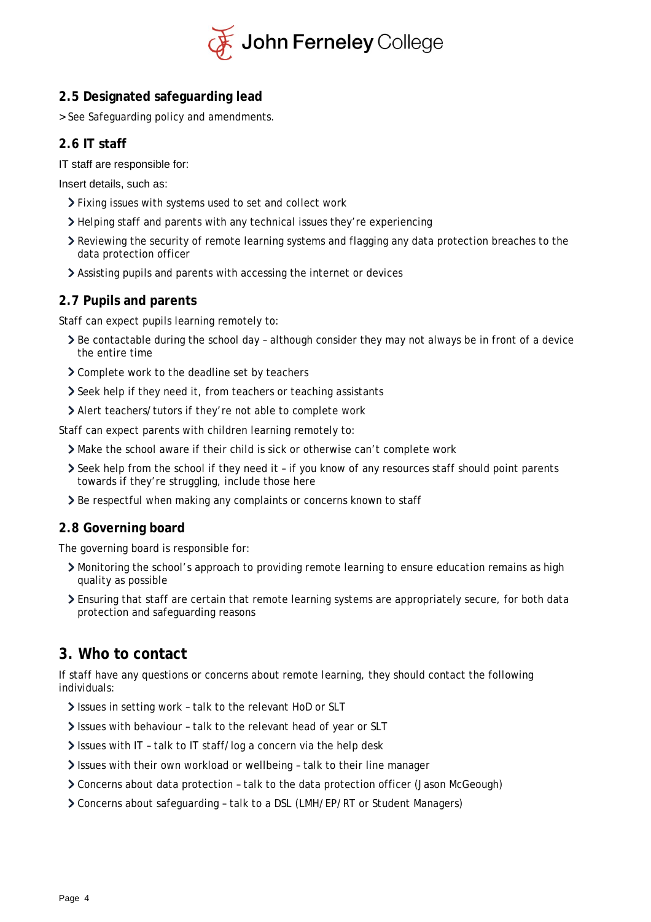

## **2.5 Designated safeguarding lead**

> See Safeguarding policy and amendments.

## **2.6 IT staff**

IT staff are responsible for:

Insert details, such as:

- Fixing issues with systems used to set and collect work
- Helping staff and parents with any technical issues they're experiencing
- Reviewing the security of remote learning systems and flagging any data protection breaches to the data protection officer
- Assisting pupils and parents with accessing the internet or devices

#### **2.7 Pupils and parents**

Staff can expect pupils learning remotely to:

- Be contactable during the school day although consider they may not always be in front of a device the entire time
- > Complete work to the deadline set by teachers
- Seek help if they need it, from teachers or teaching assistants
- Alert teachers/tutors if they're not able to complete work

Staff can expect parents with children learning remotely to:

- Make the school aware if their child is sick or otherwise can't complete work
- Seek help from the school if they need it if you know of any resources staff should point parents towards if they're struggling, include those here
- **>** Be respectful when making any complaints or concerns known to staff

#### **2.8 Governing board**

The governing board is responsible for:

- Monitoring the school's approach to providing remote learning to ensure education remains as high quality as possible
- Ensuring that staff are certain that remote learning systems are appropriately secure, for both data protection and safeguarding reasons

## <span id="page-3-0"></span>**3. Who to contact**

If staff have any questions or concerns about remote learning, they should contact the following individuals:

- Issues in setting work talk to the relevant HoD or SLT
- Issues with behaviour talk to the relevant head of year or SLT
- Issues with IT talk to IT staff/log a concern via the help desk
- Issues with their own workload or wellbeing talk to their line manager
- Concerns about data protection talk to the data protection officer (Jason McGeough)
- Concerns about safeguarding talk to a DSL (LMH/EP/RT or Student Managers)